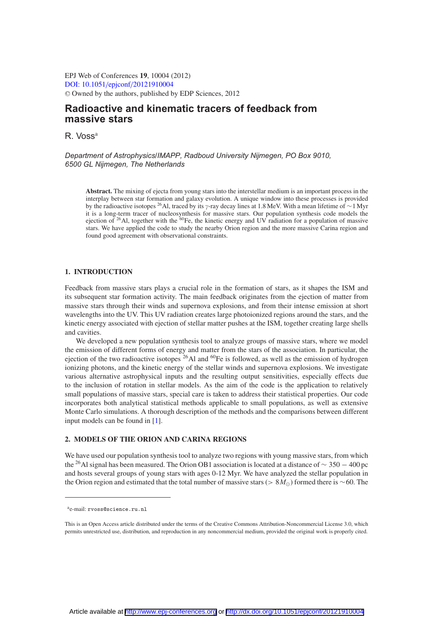EPJ Web of Conferences **19**, 10004 (2012) [DOI: 10.1051](http://dx.doi.org/10.1051/epjconf/20121910004)/epjconf/20121910004 <sup>C</sup> Owned by the authors, published by EDP Sciences, 2012

# **Radioactive and kinematic tracers of feedback from massive stars**

R. Voss<sup>a</sup>

*Department of Astrophysics/IMAPP, Radboud University Nijmegen, PO Box 9010, 6500 GL Nijmegen, The Netherlands*

**Abstract.** The mixing of ejecta from young stars into the interstellar medium is an important process in the interplay between star formation and galaxy evolution. A unique window into these processes is provided by the radioactive isotopes <sup>26</sup>Al, traced by its γ-ray decay lines at 1.8 MeV. With a mean lifetime of ∼1 Myr it is a long-term tracer of nucleosynthesis for massive stars. Our population synthesis code models the ejection of  $^{26}$ Al, together with the  $^{60}$ Fe, the kinetic energy and UV radiation for a population of massive stars. We have applied the code to study the nearby Orion region and the more massive Carina region and found good agreement with observational constraints.

## **1. INTRODUCTION**

Feedback from massive stars plays a crucial role in the formation of stars, as it shapes the ISM and its subsequent star formation activity. The main feedback originates from the ejection of matter from massive stars through their winds and supernova explosions, and from their intense emission at short wavelengths into the UV. This UV radiation creates large photoionized regions around the stars, and the kinetic energy associated with ejection of stellar matter pushes at the ISM, together creating large shells and cavities.

We developed a new population synthesis tool to analyze groups of massive stars, where we model the emission of different forms of energy and matter from the stars of the association. In particular, the ejection of the two radioactive isotopes  $^{26}$ Al and  $^{60}$ Fe is followed, as well as the emission of hydrogen ionizing photons, and the kinetic energy of the stellar winds and supernova explosions. We investigate various alternative astrophysical inputs and the resulting output sensitivities, especially effects due to the inclusion of rotation in stellar models. As the aim of the code is the application to relatively small populations of massive stars, special care is taken to address their statistical properties. Our code incorporates both analytical statistical methods applicable to small populations, as well as extensive Monte Carlo simulations. A thorough description of the methods and the comparisons between different input models can be found in [\[1\]](#page-1-0).

## **2. MODELS OF THE ORION AND CARINA REGIONS**

We have used our population synthesis tool to analyze two regions with young massive stars, from which the 26Al signal has been measured. The Orion OB1 association is located at a distance of <sup>∼</sup> <sup>350</sup> <sup>−</sup> 400 pc and hosts several groups of young stars with ages 0-12 Myr. We have analyzed the stellar population in the Orion region and estimated that the total number of massive stars (>  $8M_{\odot}$ ) formed there is ∼60. The

ae-mail: rvoss@science.ru.nl

This is an Open Access article distributed under the terms of the Creative Commons Attribution-Noncommercial License 3.0, which permits unrestricted use, distribution, and reproduction in any noncommercial medium, provided the original work is properly cited.